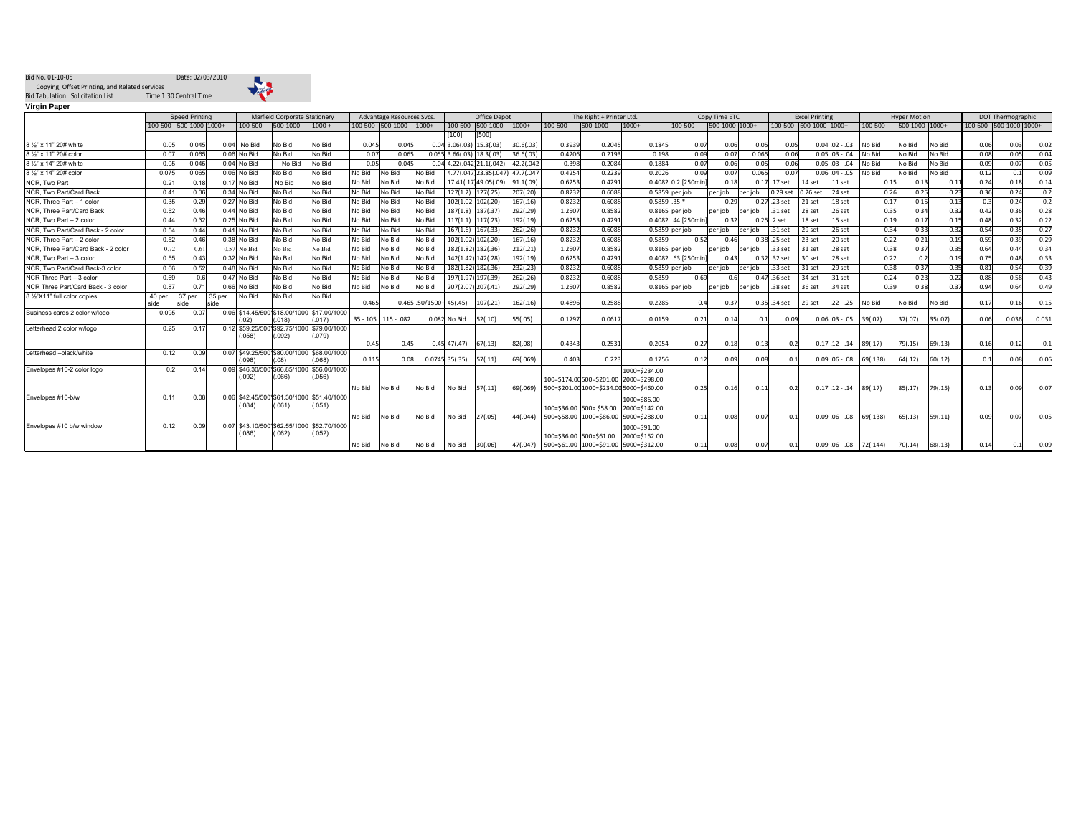## Bid No. 01-10-05 Date: 02/03/2010 奉 Bid Tabulation Solicitation List Time 1:30 Central Time Copying, Offset Printing, and Related services

**Virgin Paper**

| <b>Speed Printing</b>               |         |                        | Marfield Corporate Stationery |               |                                                     | Advantage Resources Svcs. |        |                        | Office Depot             |                  |                                 | The Right + Printer Ltd. |         |                          | Copy Time ETC                                   |                    |                | <b>Excel Printing</b> |                    |                        | <b>Hyper Motion</b>            |         |                | DOT Thermographic |            |                        |       |
|-------------------------------------|---------|------------------------|-------------------------------|---------------|-----------------------------------------------------|---------------------------|--------|------------------------|--------------------------|------------------|---------------------------------|--------------------------|---------|--------------------------|-------------------------------------------------|--------------------|----------------|-----------------------|--------------------|------------------------|--------------------------------|---------|----------------|-------------------|------------|------------------------|-------|
|                                     |         | 100-500 500-1000 1000+ |                               | 100-500       | 500-1000                                            | $1000 +$                  |        | 100-500 500-1000 1000+ |                          | 100-500          | 500-1000                        | $1000+$                  | 100-500 | 500-1000                 | 1000+                                           | 100-500            | 500-1000 1000+ |                       |                    | 100-500 500-1000 1000+ |                                | 100-500 | 500-1000 1000+ |                   |            | 100-500 500-1000 1000+ |       |
|                                     |         |                        |                               |               |                                                     |                           |        |                        |                          | [100]            | [500]                           |                          |         |                          |                                                 |                    |                |                       |                    |                        |                                |         |                |                   |            |                        |       |
| 8 1/2" x 11" 20# white              | 0.05    | 0.045                  |                               | $0.04$ No Bid | No Bid                                              | No Bid                    | 0.045  | 0.045                  |                          | 0.0433.06(.03)   | 15.3(.03)                       | 30.6(.03)                | 0.3939  | 0.2045                   | 0.1845                                          | 0.07               | 0.06           | 0.05                  | 0.05               |                        | $0.04$ .02 - .03               | No Bid  | No Bid         | No Bid            | 0.06       | 0.03                   | 0.02  |
| 8 1/2" x 11" 20# color              | 0.07    | 0.065                  |                               | 0.06 No Bid   | No Bid                                              | No Bid                    | 0.07   | 0.065                  |                          |                  | $0.055$ 3.66(.03) 18.3(.03)     | 36.6(.03)                | 0.4206  | 0.2193                   | 0.198                                           | 0.09               | 0.07           | 0.065                 | 0.06               |                        | $0.05$ .03 - .04               | No Bid  | No Bid         | No Bid            | 0.08       | 0.05                   | 0.04  |
| 8 1/2" x 14" 20# white              | 0.05    | 0.045                  |                               | $0.04$ No Bid | No Bid                                              | No Bid                    | 0.05   | 0.045                  |                          |                  | $0.04$ 4.22(.042)21.1(.042)     | 42.2(.042                | 0.398   | 0.2084                   | 0.1884                                          | 0.07               | 0.06           | 0.05                  | 0.06               |                        | $0.05$ .03 - .04               | No Bid  | No Bid         | No Bid            | 0.09       | 0.07                   | 0.05  |
| 8 1/2" x 14" 20# color              | 0.075   | 0.065                  |                               | 0.06 No Bid   | No Bid                                              | No Bid                    | No Bid | No Bid                 | No Bid                   |                  | 4.77(.047 23.85(.047) 47.7(.047 |                          | 0.4254  | 0.2239                   | 0.2026                                          | 0.09               | 0.07           | 0.065                 | 0.07               |                        | $0.06$ .04 - .05               | No Bid  | No Bid         | No Bid            | 0.12       | 0.1                    | 0.09  |
| NCR, Two Part                       | 0.21    | 0.18                   |                               | 7 No Bid      | No Bid                                              | No Bid                    | No Bid | No Bid                 | No Bid                   |                  | 17.41(.17)49.05(.09)            | 91.1(.09)                | 0.6253  | 0.4291                   |                                                 | 0.4082 0.2 [250min | 0.18           | 0.17                  | 17 set             | .14 set                | .11 <sub>set</sub>             | 0.15    | 0.13           | 0.1               | 0.24       | 0.18                   | 0.14  |
| NCR, Two Part/Card Back             | 0.41    | 0.36                   |                               | $0.34$ No Bid | No Bid                                              | No Bid                    | No Bid | No Bid                 | No Bid                   | 127(1.2)         | 127(.25)                        | 207(.20)                 | 0.823   | 0.6088                   |                                                 | 0.5859 per job     | per job        | per job               | $0.29$ set         | 0.26 set               | .24 <sub>set</sub>             | 0.26    | 0.25           | 0.23              | 0.36       | 0.24                   | 0.2   |
| NCR. Three Part - 1 color           | 0.35    | 0.29                   |                               | 0.27 No Bid   | No Bid                                              | No Bid                    | No Bid | No Bid                 | No Bid                   | 102(1.02         | 102(.20)                        | 167(.16)                 | 0.823   | 0.6088                   | $0.5859.35*$                                    |                    | 0.29           |                       | $0.27$ .23 set     | .21 <sub>set</sub>     | .18 <sub>set</sub>             | 0.17    | 0.15           | 0.1               | $^{\circ}$ | 0.24                   | 0.2   |
| NCR, Three Part/Card Back           | 0.52    | 0.46                   |                               | 0.44 No Bid   | No Bid                                              | No Bid                    | No Bid | No Bid                 | No Bid                   | 187(1.8)         | 187(.37)                        | 292(.29)                 | 1.2507  | 0.8582                   |                                                 | $0.8165$ per job   | per job        | per job               | $.31$ set          | .28 <sub>set</sub>     | .26 <sub>set</sub>             | 0.35    | 0.34           | 0.32              | 0.42       | 0.36                   | 0.28  |
| NCR, Two Part - 2 color             | 0.44    | 0.32                   |                               | 0.25 No Bid   | No Bid                                              | No Bid                    | No Bid | No Bid                 | No Bid                   | 117(1.1)         | 117(.23)                        | 192(.19)                 | 0.6253  | 0.4291                   |                                                 | 0.4082 .44 [250mir | 0.32           | 0.25                  | .2 set             | .18 <sub>set</sub>     | .15 <sub>set</sub>             | 0.19    | 0.17           | 0.1!              | 0.48       | 0.32                   | 0.22  |
| NCR, Two Part/Card Back - 2 color   | 0.54    | 0.44                   | 0.41                          | No Bid        | No Bid                                              | No Bid                    | No Bid | No Bid                 | No Bid                   | 167(1.6)         | 167(.33)                        | 262(.26)                 | 0.823   | 0.6088                   |                                                 | 0.5859 per job     | per job        | per job               | .31 <sub>set</sub> | .29 set                | .26 <sub>set</sub>             | 0.34    | 0.33           | 0.32              | 0.54       | 0.35                   | 0.27  |
| NCR, Three Part - 2 color           | 0.52    | 0.46                   |                               | 0.38 No Bid   | No Bid                                              | No Bid                    | No Bid | No Bid                 | No Bid                   | 102(1.02         | 102(.20)                        | 167(.16)                 | 0.823   | 0.6088                   | 0.585                                           | 0.52               | 0.46           |                       | .25 <sub>set</sub> | $.23$ set              | .20 <sub>set</sub>             | 0.21    | 0.21           | 0.19              | 0.59       | 0.39                   | 0.29  |
| NCR. Three Part/Card Back - 2 color | 0.72    | 0.61                   |                               | 0.57 No Bid   | No Bid                                              | No Bid                    | No Bid | No Bid                 | No Bid                   | 182(1.82         | 182(.36)                        | 212(.21)                 | 1.2507  | 0.8582                   |                                                 | 0.8165 per job     | per job        | per job               | .33 <sub>set</sub> | .31 <sub>set</sub>     | .28 <sub>set</sub>             | 0.38    | 0.37           | 0.35              | 0.64       | 0.44                   | 0.34  |
| NCR, Two Part - 3 color             | 0.55    | 0.43                   |                               | $0.32$ No Bid | No Bid                                              | No Bid                    | No Bid | No Bio                 | No Bid                   | 142(1.42         | 142(.28)                        | 192(.19)                 | 0.6253  | 0.4291                   | 0.408                                           | .63 [250min        | 0.43           |                       | 0.32 .32 set       | 30 set                 | .28 <sub>set</sub>             | 0.22    | 0.2            | 0.19              | 0.75       | 0.48                   | 0.33  |
| NCR, Two Part/Card Back-3 color     | 0.66    | 0.52                   |                               | 0.48 No Bid   | No Bid                                              | No Bid                    | No Bid | No Bid                 | No Bid                   | 182(1.82         | 182(.36)                        | 232(.23)                 | 0.8232  | 0.6088                   |                                                 | 0.5859 per job     | per job        | per job               | .33 set            | .31 <sub>set</sub>     | .29 <sub>set</sub>             | 0.38    | 0.37           | 0.35              | 0.81       | 0.54                   | 0.39  |
| NCR Three Part - 3 color            | 0.69    | 0.6                    |                               | 0.47 No Bid   | No Bid                                              | No Bid                    | No Bid | No Bid                 | No Bid                   | 197(1.97         | 197(.39)                        | 262(.26)                 | 0.823   | 0.6088                   | 0.585                                           |                    |                |                       | 0.47 .36 set       | 34 set                 | .31 <sub>set</sub>             | 0.24    | 0.23           | 0.21              | 0.88       | 0.58                   | 0.43  |
| NCR Three Part/Card Back - 3 color  | 0.87    | 0.71                   |                               | 0.66 No Bid   | No Bid                                              | No Bid                    | No Bid | No Bid                 | No Bid                   |                  | 207(2.07) 207(.41)              | 292(.29)                 | 1.2507  | 0.8582                   |                                                 | 0.8165 per job     | per job        | per job               | .38 set            | .36 set                | .34 <sub>set</sub>             | 0.39    | 0.38           | 0.3'              | 0.94       | 0.64                   | 0.49  |
| 8 1/2"X11" full color copies        | .40 per | 37 per                 | 35 per                        | No Bid        | No Bid                                              | No Bid                    |        |                        |                          |                  |                                 |                          |         |                          |                                                 |                    |                |                       |                    |                        |                                |         |                |                   |            |                        |       |
|                                     | side    |                        | side                          |               |                                                     |                           | 0.465  |                        | $0.465$ .50/1500+45(.45) |                  | 107(.21)                        | 162(.16)                 | 0.4896  | 0.2588                   | 0.2285                                          | 0.4                | 0.37           | 0.35                  | .34 set            | .29 set                | .22 - .25 No Bid               |         | No Bid         | No Bid            | 0.17       | 0.16                   | 0.15  |
| Business cards 2 color w/logo       | 0.095   | 0.07                   |                               | (02)          | 0.06 \$14.45/5001\$18.00/1000 \$17.00/1000<br>.0181 | (.017)                    |        | $.35-.105$ $.115-.082$ |                          | 0.082 No Bid     | 52(.10)                         | 55(.05)                  | 0.1797  | 0.0617                   | 0.0159                                          | 0.21               | 0.14           | 0.1                   | 0.09               |                        | $0.06$ $.03 - .05$ 39( $.07$ ) |         | 37(.07)        | 35(.07)           | 0.06       | 0.036                  | 0.031 |
| Letterhead 2 color w/logo           | 0.25    | 0.17                   |                               |               | 0.12 \$59.25/5001\$92.75/1000 \$79.00/1000          |                           |        |                        |                          |                  |                                 |                          |         |                          |                                                 |                    |                |                       |                    |                        |                                |         |                |                   |            |                        |       |
|                                     |         |                        |                               | (058)         | (.092)                                              | (.079)                    | 0.45   | 0.45                   |                          | $0.45$ 47(.47)   | 67(.13)                         | 82(.08)                  | 0.434   | 0.2531                   | 0.2054                                          | 0.27               | 0.18           | 0.13                  | 0.2                |                        | $0.17.12 - .14$ 89(.17)        |         | 79(.15)        | 69(.13)           | 0.16       | 0.12                   |       |
| Letterhead -black/white             | 0.12    | 0.09                   |                               |               | 0.07 \$49.25/500 \$80.00/1000 \$68.00/1000          |                           |        |                        |                          |                  |                                 |                          |         |                          |                                                 |                    |                |                       |                    |                        |                                |         |                |                   |            |                        |       |
|                                     |         |                        |                               | (098)         | (08)                                                | (.068)                    | 0.115  | 0.08                   |                          | $0.0745$ 35(.35) | 57(.11)                         | 69(.069)                 | 0.403   | 0.223                    | 0.1756                                          | 0.12               | 0.09           | 0.08                  | 0.1                |                        | $0.09.06 - 08$ 69(.138)        |         | 64(.12)        | 60(.12)           | $^{\circ}$ | 0.08                   | 0.06  |
| Envelopes #10-2 color logo          | 0.2     | 0.14                   |                               |               | 0.09 \$46.30/500 \$66.85/1000                       | \$56,00/1000              |        |                        |                          |                  |                                 |                          |         |                          | 1000=\$234.00                                   |                    |                |                       |                    |                        |                                |         |                |                   |            |                        |       |
|                                     |         |                        |                               | 092)          | (066)                                               | (.056)                    |        |                        |                          |                  |                                 |                          |         |                          | 100=\$174.00500=\$201.00 2000=\$298.00          |                    |                |                       |                    |                        |                                |         |                |                   |            |                        |       |
|                                     |         |                        |                               |               |                                                     |                           | No Bid | No Bid                 | No Bid                   | No Bid           | 57(.11)                         | 69(.069)                 |         |                          | 500=\$201.00 1000=\$234.00 5000=\$460.00        | 0.25               | 0.16           | 0.11                  | 0.2                |                        | $0.17.12 - .14$ 89(.17)        |         | 85(.17)        | 79(.15)           | 0.13       | 0.09                   | 0.07  |
| Envelopes #10-b/w                   | 0.11    | 0.08                   |                               |               | 0.06 \$42,45/5001\$61.30/1000 \$51.40/1000          |                           |        |                        |                          |                  |                                 |                          |         |                          | 1000=\$86.00                                    |                    |                |                       |                    |                        |                                |         |                |                   |            |                        |       |
|                                     |         |                        |                               | .084)         | (.061)                                              | (.051)                    |        |                        |                          |                  |                                 |                          |         | 100=\$36.00 500= \$58.00 | 2000=\$142.00                                   |                    |                |                       |                    |                        |                                |         |                |                   |            |                        |       |
|                                     |         |                        |                               |               |                                                     |                           | No Bid | No Bid                 | No Bid                   | No Bid           | 27(.05)                         | 44(.044)                 |         |                          | 500=\$58.00 1000=\$86.00 5000=\$288.00          | 0.11               | 0.08           | 0.07                  | 0.1                |                        | $0.09.06 - 08$ 69(.138)        |         | 65(.13)        | 59(.11)           | 0.09       | 0.07                   | 0.05  |
| Envelopes #10 b/w window            | 0.12    | 0.09                   |                               |               | 0.07 \$43.10/500 \$62.55/1000 \$52.70/1000          |                           |        |                        |                          |                  |                                 |                          |         |                          | 1000=\$91.00                                    |                    |                |                       |                    |                        |                                |         |                |                   |            |                        |       |
|                                     |         |                        |                               | (086)         | .062)                                               | (.052)                    |        |                        |                          |                  |                                 |                          |         | 100=\$36.00 500=\$61.00  | 2000=\$152.00                                   |                    |                |                       |                    |                        |                                |         |                |                   |            |                        |       |
|                                     |         |                        |                               |               |                                                     |                           | No Bid | No Bid                 | No Bid                   | No Bid           | 30(.06)                         |                          |         |                          | 47(.047) 500=\$61.00 1000=\$91.00 5000=\$312.00 | 0.11               | 0.08           | 0.07                  | 0.1                |                        | $0.09$ .06 - .08 72(.144)      |         | 70(.14)        | 68(.13)           | 0.14       |                        | 0.09  |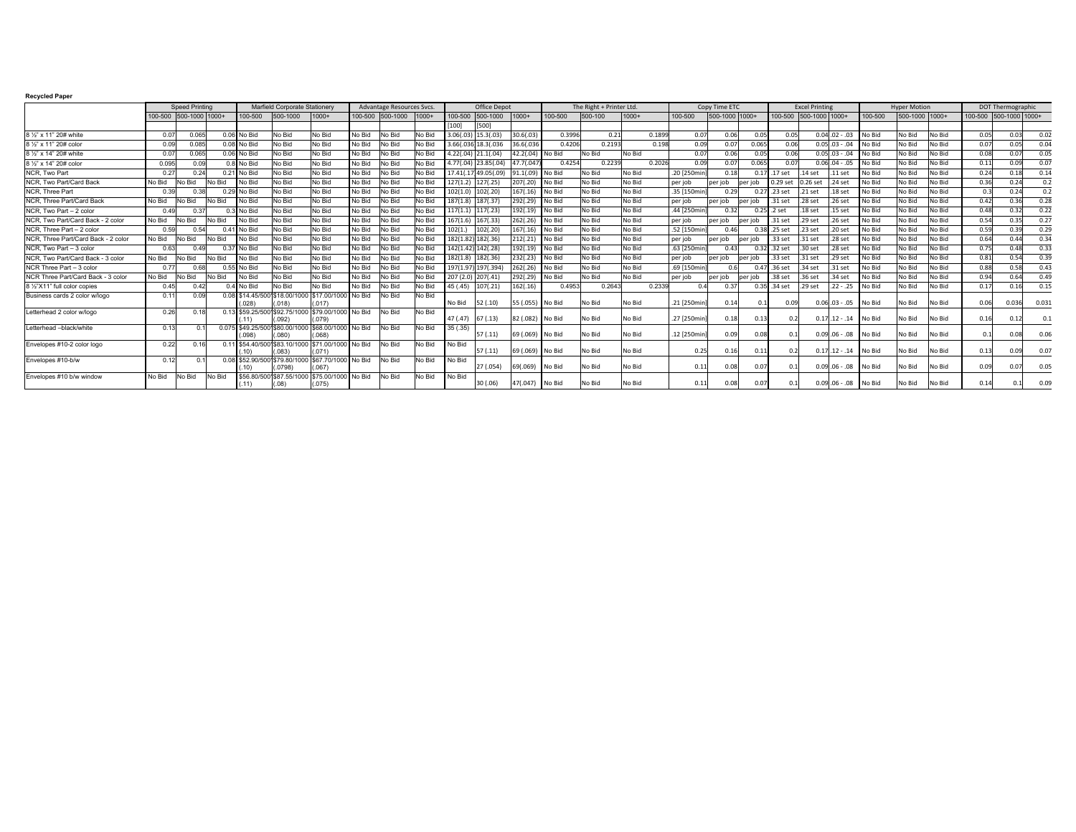## **Recycled Paper**

|                                            | <b>Speed Printing</b> |                  |        | Marfield Corporate Stationery |                                                             |                                  | Advantage Resources Svcs. |                  |         | Office Depot |             |                  | The Right + Printer Ltd. |         |         |             | Copy Time ETC |          |                    | <b>Excel Printing</b> |                    |          | <b>Hyper Motion</b> |        | <b>DOT Thermographic</b> |       |            |  |
|--------------------------------------------|-----------------------|------------------|--------|-------------------------------|-------------------------------------------------------------|----------------------------------|---------------------------|------------------|---------|--------------|-------------|------------------|--------------------------|---------|---------|-------------|---------------|----------|--------------------|-----------------------|--------------------|----------|---------------------|--------|--------------------------|-------|------------|--|
|                                            | 100-500               | 500-1000 1000+   |        | 100-500                       | 500-1000                                                    | $1000+$                          |                           | 100-500 500-1000 | $1000+$ | 100-500      | 500-1000    | $11000+$         | 100-500                  | 500-100 | $1000+$ | 100-500     | 500-1000 1000 |          | 100-500            | 500-1000 1000+        |                    | 100-500  | 500-1000 1000+      |        | 100-500 500-1000 1000+   |       |            |  |
|                                            |                       |                  |        |                               |                                                             |                                  |                           |                  |         | [100]        | [500]       |                  |                          |         |         |             |               |          |                    |                       |                    |          |                     |        |                          |       |            |  |
| 8 1/2" x 11" 20# white                     | 0.0                   | 0.065            |        | 0.06 No Bid                   | No Bid                                                      | No Bid                           | No Bid                    | No Bid           | No Bid  | 3.06(.0)     | 15.3(.03)   | 30.6(.03)        | 0.3996                   | 0.21    | 0.1899  | 0.07        | 0.06          | 0.05     | 0.05               |                       | $0.04.02 - .03$    | No Bid   | No Bid              | No Bid | 0.05                     | 0.03  | 0.02       |  |
| 8 1/2" x 11" 20# color                     | 0.09                  | 0.085            |        | $0.08$ No Bid                 | No Bid                                                      | No Bid                           | No Bid                    | No Bid           | No Bid  | 3.66(.03     | 18.3(.036   | 36.6(.036        | 0.4206                   | 0.2193  | 0.198   | 0.09        | 0.07          | 0.065    | 0.06               |                       | $0.05.03 - .04$    | No Bid   | No Bid              | No Bid | 0.0                      | 0.05  | 0.04       |  |
| 8 1/2" x 14" 20# white                     | 0.0                   | 0.065            |        | 0.06 No Bid                   | No Bid                                                      | No Bid                           | No Bid                    | No Bid           | No Bid  | 4.22(.04)    | 21.1(.04)   | 42.2(.04)        | No Bid                   | No Bid  | No Bid  | 0.07        | 0.06          | 0.05     | 0.06               |                       | $0.05$ .03 - .04   | No Bid   | No Bid              | No Bid | 0.08                     | 0.0   | 0.05       |  |
| 8 1/2" x 14" 20# color                     | 0.095                 | 0.09             |        | 0.8 No Bid                    | No Bid                                                      | No Bid                           | No Bid                    | No Bid           | No Bid  | 4.77(.04)    | 23,85(.04)  | 47.7(.04         | 0.4254                   | 0.2239  | 0.2026  | 0.09        | 0.07          | 0.065    | 0.07               |                       | $0.0604-.05$       | No Bid   | No Bid              | No Bid | 0.1                      |       | 0.07       |  |
| <b>NCR.</b> Two Part                       | $0.2^{\circ}$         | 0.24             |        | 0.21 No Bid                   | No Bid                                                      | No Bid                           | No Bid                    | No Bid           | No Bid  | 17.41(.1)    | 49.05(.09)  | 91.1(.09)        | No Bid                   | No Bid  | No Bid  | .20 [250mi  | 0.18          | 0.17     | 17 set             | 14 set                | .11 <sub>set</sub> | No Bid   | No Bid              | No Bid | 0.24                     | 0.18  | 0.14       |  |
| NCR, Two Part/Card Back                    | No Bid                | No Bid           | No Bid | No Bid                        | No Bid                                                      | No Bid                           | No Bid                    | No Bid           | No Bid  | 127(1.2      | 127(.25)    | 207(.20)         | No Bid                   | No Bid  | No Bid  | per job     | per job       | ner job  | 0.29 set           | $0.26$ set            | .24 <sub>set</sub> | No Bid   | No Bid              | No Bid | 0.36                     |       | $\Omega$ . |  |
| <b>NCR.</b> Three Part                     | 0.39                  |                  |        | No Bid                        | No Bid                                                      | No Bid                           | No Bid                    | No Bid           | No Bid  | 102(1.       | 102(.20)    | 167(.16)         | No Bid                   | No Bid  | No Bid  | .35 [150mi  | 0.29          | 0.27     | .23 set            | .21 <sub>set</sub>    | .18 <sub>set</sub> | No Bid   | No Bid              | No Bid | $^{\circ}$               | 0.24  | 0.2        |  |
| NCR. Three Part/Card Back                  | No Bid                | No Bid           | No Bid | No Bid                        | No Bid                                                      | No Bid                           | No Bid                    | No Bid           | No Bid  | 187(1.8)     | 187(.37)    | 292(.29)         | No Bid                   | No Bid  | No Bid  | per job     | per job       | per job  | .31 <sub>set</sub> | .28 set               | .26 set            | No Bid   | No Bid              | No Bid | 0.42                     | 0.36  | 0.28       |  |
| NCR. Two Part - 2 color                    | 0.49                  | 0.37             |        | No Bid                        | No Bid                                                      | No Bid                           | No Bid                    | No Bid           | No Bid  | 117(1.1)     | 117(.23)    | 192(.19)         | No Bid                   | No Bid  | No Bid  | .44 [250mi  | 0.32          |          | $0.25$ .2 set      | .18 <sub>set</sub>    | .15 <sub>set</sub> | No Bid   | No Bid              | No Bid | 0.48                     | 0.32  | 0.22       |  |
| NCR. Two Part/Card Back - 2 color          | No Bid                | No Bid           | No Bid | No Bid                        | No Bid                                                      | No Bid                           | No Bid                    | No Bid           | No Bid  | 167(1.6)     | 167(.33)    | 262(.26)         | No Bid                   | No Bid  | No Bid  | per job     | per job       | per job  | .31 set            | .29 set               | .26 <sub>set</sub> | No Bid   | No Bid              | No Bid | 0.54                     | 0.35  | 0.27       |  |
| NCR, Three Part - 2 color                  | 0.59                  | 0.54             | 041    | No Bid                        | No Bid                                                      | No Bid                           | No Bid                    | No Bid           | No Bid  | 102(1.       | 102(.20)    | 167(.16)         | No Bid                   | No Bid  | No Bid  | .52 [150mi  | 0.46          | 0.38     | .25 set            | $23$ set              | .20 <sub>set</sub> | No Bid   | No Bid              | No Bid | 0.59                     | 0.39  | 0.29       |  |
| NCR. Three Part/Card Back - 2 color        | No Bid                | No Bid           | No Bid | No Bid                        | No Bid                                                      | No Bid                           | No Bid                    | No Bid           | No Bid  | 182(1.82     | 182(.36)    | 212(.21)         | No Bid                   | No Bid  | No Bid  | per job     | per job       | ner job  | .33 set            | 31 set                | .28 <sub>set</sub> | No Bid   | No Bid              | No Bid | 0.64                     | 0.44  | 0.34       |  |
| NCR. Two Part - 3 color                    | 0.63                  | 0.4 <sup>c</sup> |        | No Bid                        | No Bid                                                      | No Bid                           | No Bid                    | No Bid           | No Bid  | 142(1.42     | 2) 142(.28) | 192(.19)         | No Bid                   | No Bid  | No Bid  | .63 [250mi  | 0.43          | 0.32     | .32 set            | .30 set               | .28 set            | No Bid   | No Bid              | No Bid | 0.75                     | 0.48  | 0.33       |  |
| <b>NCR.</b> Two Part/Card Back - 3 color   | No Bid                | <b>No Bid</b>    | No Bid | No Bid                        | No Bid                                                      | No Bid                           | No Bid                    | No Bid           | No Bid  | 182(1.8)     | 182(.36)    | 232(.23)         | No Bid                   | No Bid  | No Bid  | per job     | per job       | lner ioh | .33 set            | 31 set                | 29 set             | No Bid   | No Bid              | No Bid | 0.8                      | 0.54  | 0.39       |  |
| NCR Three Part - 3 color                   | 0.7                   | 0.68             | 0.55   | No Bid                        | No Bid                                                      | No Bid                           | No Bid                    | No Bid           | No Bid  | 197(1.9      | 197(.394)   | 262(.26)         | No Bid                   | No Bid  | No Bid  | .69 [150mi  |               |          | .36 set            | 34 set                | 31 set             | No Bid   | No Bid              | No Bid | 0.88                     | n 5.8 | 0.43       |  |
| <b>INCR Three Part/Card Back - 3 color</b> | No Bid                | No Bid           | No Bid | No Bid                        | No Bid                                                      | No Bid                           | No Bid                    | No Bid           | No Bid  | 207 (2.0     | 207(.41)    | 292(.29)         | No Bid                   | No Bid  | No Bid  | per job     | per job       | per job  | .38 set            | 36 set                | 34 set             | No Bid   | No Bid              | No Bid | 0.94                     | 0.64  | 0.49       |  |
| 8 1/2"X11" full color copies               | 0.45                  | 0.42             | 04     | No Bid                        | No Bid                                                      | No Bid                           | No Bid                    | No Bid           | No Bid  | 45 (.45)     | 107(.21)    | .62(.16)         | 0.4953                   | 0.2643  | 0.2339  |             | 0.37          | 0.35     | .34 set            | .29 set               | $.22 - .25$        | No Bid   | No Bid              | No Bid | 0.1                      | 0.16  | 0.15       |  |
| Business cards 2 color w/logo              | $0.1^{\circ}$         | 0.09             |        | .0281                         | 0.08 \$14.45/5001\$18.00/1000 \$17.00/100<br>.018           | .017                             | No Bid                    | No Bid           | No Bid  | No Bid       | 52 (.10)    | 55 (.055)        | No Bid                   | No Bid  | No Bid  | .21 [250min | 0.14          | 0.1      | 0.09               |                       | $0.06$ .03 - .05   | No Bid   | No Bid              | No Bid | 0.0                      | 0.036 | 0.031      |  |
| Letterhead 2 color w/logo                  | 0.26                  | 0.18             |        | 0.13 \$59,25/500              | .092)                                                       | 92.75/1000 \$79.00/1000<br>(079) | No Bid                    | No Bid           | No Bid  | 47 (.47)     | 67(.13)     | 82 (.082) No Bid |                          | No Bid  | No Bid  | .27 [250mi  | 0.18          | 0.13     | n:                 |                       | $0.17.12 - .14$    | l No Bid | No Bid              | No Bid | 0.16                     | 0.12  | $\Omega$   |  |
| Letterhead -black/white                    | 0.13                  |                  |        | (098)                         | 0.075 \$49.25/500 \$80.00/1000 \$68.00/1000 No Bid<br>.080) | .068)                            |                           | No Bid           | No Bid  | 35 (.35)     | 57(.11)     | 69 (.069)        | No Bid                   | No Bid  | No Bid  | .12 [250mir | 0.09          | 0.08     |                    |                       | $0.09$ .06 - .08   | No Bid   | No Bid              | No Bid |                          |       | 0.06       |  |
| Envelopes #10-2 color logo                 | 0.22                  | 0.16             |        |                               | 0.11 \$54.40/500 \$83.10/1000 \$71.00/1000 No Bid<br>.083)  | (071)                            |                           | No Bid           | No Bid  | No Bid       | 57(.11)     | 69 (.069)        | No Bid                   | No Bid  | No Bid  | 0.25        | 0.16          | 0.11     | 0.2                |                       | $0.17$ .12 - .14   | No Bid   | No Bid              | No Bid | 0.13                     |       | 0.07       |  |
| Envelopes #10-b/w                          | 0.12                  |                  |        |                               | \$52,90/5001\$79,80/1000 \$67,70/1000<br>.07981             | .067)                            | I No Bid                  | No Bid           | No Bid  | No Bid       | 27 (.054)   | 69(.069)         | No Bid                   | No Bid  | No Bid  | 0.11        | 0.08          | 0.07     |                    |                       | $0.09.06 - .08$    | No Bid   | No Bid              | No Bid | 0.09                     |       | 0.05       |  |
| Envelopes #10 b/w window                   | No Bid                | No Bid           | No Bid |                               | \$56.80/5001\$87.55/1000 \$75.00/1000 No Bid<br>.081        | (075)                            |                           | No Bid           | No Bid  | No Bid       | 30 (.06)    | 47(.047)         | No Bid                   | No Bid  | No Bid  | 0.11        | 0.08          | 0.07     |                    |                       | $0.09.06 - .08$    | No Bid   | No Bid              | No Bid | 0.14                     |       | 0.09       |  |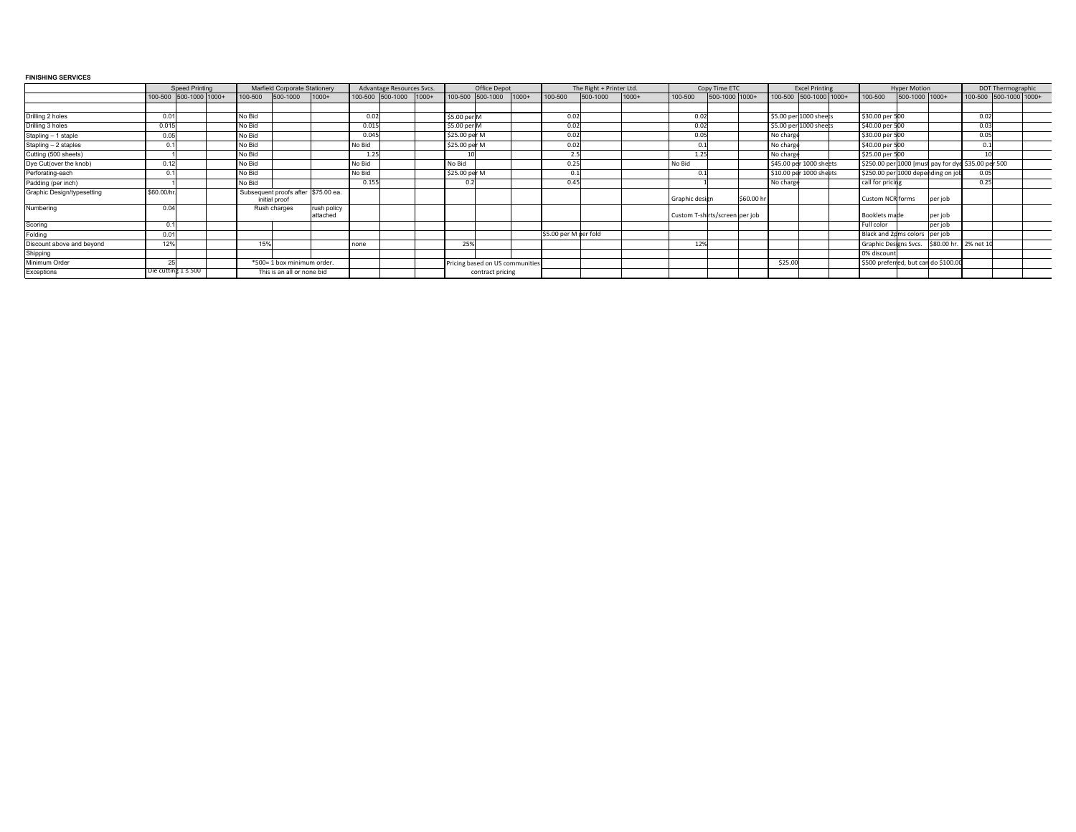## **FINISHING SERVICES**

|                            | <b>Speed Printing</b> |                          | Marfield Corporate Stationery |                                                      |                         | Advantage Resources Svcs. |                  |         | Office Depot  |                                 |  | The Right + Printer Ltd. |          |         | Copy Time ETC                  |                |           | <b>Excel Printing</b>  |                         |  | <b>Hyper Motion</b>                                 |                |                      | DOT Thermographic |                        |  |
|----------------------------|-----------------------|--------------------------|-------------------------------|------------------------------------------------------|-------------------------|---------------------------|------------------|---------|---------------|---------------------------------|--|--------------------------|----------|---------|--------------------------------|----------------|-----------|------------------------|-------------------------|--|-----------------------------------------------------|----------------|----------------------|-------------------|------------------------|--|
|                            |                       | 100-500 500-1000 1000+   | 100-500                       | 500-1000                                             | $1000+$                 |                           | 100-500 500-1000 | $1000+$ |               | 100-500 500-1000 1000+          |  | 100-500                  | 500-1000 | $1000+$ | 100-500                        | 500-1000 1000+ |           | 100-500 500-1000 1000+ |                         |  | 100-500                                             | 500-1000 1000+ |                      |                   | 100-500 500-1000 1000+ |  |
|                            |                       |                          |                               |                                                      |                         |                           |                  |         |               |                                 |  |                          |          |         |                                |                |           |                        |                         |  |                                                     |                |                      |                   |                        |  |
| Drilling 2 holes           | 0.01                  |                          | No Bid                        |                                                      |                         | 0.02                      |                  |         | \$5.00 per M  |                                 |  |                          |          |         | 0.02                           |                |           | \$5.00 per 1000 sheets |                         |  | \$30.00 per 500                                     |                |                      | 0.02              |                        |  |
| Drilling 3 holes           | 0.015                 |                          | No Bid                        |                                                      |                         | 0.015                     |                  |         | \$5.00 per M  |                                 |  |                          |          |         | 0.02                           |                |           | \$5.00 per 1000 sheets |                         |  | \$40.00 per 500                                     |                |                      | 0.03              |                        |  |
| Stapling - 1 staple        | 0.05                  |                          | No Bid                        |                                                      |                         | 0.045                     |                  |         | \$25.00 per M |                                 |  |                          |          |         | 0.05                           |                |           | No charg               |                         |  | \$30.00 per 500                                     |                |                      |                   |                        |  |
| Stapling - 2 staples       |                       |                          | No Bid                        |                                                      |                         | No Bid                    |                  |         | \$25.00 per M |                                 |  |                          |          |         | $\Omega$                       |                |           | No charg               |                         |  | \$40.00 per 500                                     |                |                      |                   |                        |  |
| Cutting (500 sheets)       |                       |                          | No Bid                        |                                                      |                         | 1.25                      |                  |         |               |                                 |  |                          |          |         | 1.2                            |                |           | No charg               |                         |  | \$25.00 per 500                                     |                |                      |                   |                        |  |
| Dye Cut(over the knob)     | 0.12                  |                          | No Bid                        |                                                      |                         | No Bid                    |                  |         | No Bid        |                                 |  | 0.2'                     |          |         | No Bid                         |                |           |                        | \$45.00 per 1000 sheets |  | \$250.00 per 1000 [must pay for dye \$35.00 per 500 |                |                      |                   |                        |  |
| Perforating-each           |                       |                          | No Bid                        |                                                      |                         | No Bid                    |                  |         | \$25.00 per M |                                 |  |                          |          |         |                                |                |           |                        | \$10.00 per 1000 sheets |  | \$250.00 per 1000 depending on job                  |                |                      | 0.05              |                        |  |
| Padding (per inch)         |                       |                          | No Bid                        |                                                      |                         | 0.155                     |                  |         |               |                                 |  | 0.4'                     |          |         |                                |                |           | No charg               |                         |  | call for pricing                                    |                |                      | 0.25              |                        |  |
| Graphic Design/typesetting | \$60.00/hr            |                          |                               | Subsequent proofs after \$75.00 ea.<br>initial proof |                         |                           |                  |         |               |                                 |  |                          |          |         | Graphic design                 |                | \$60.00 h |                        |                         |  | Custom NCR forms                                    |                | per job              |                   |                        |  |
| Numbering                  | 0.04                  |                          |                               | Rush charges                                         | rush policy<br>attached |                           |                  |         |               |                                 |  |                          |          |         | Custom T-shirts/screen per job |                |           |                        |                         |  | Booklets made                                       |                | per job              |                   |                        |  |
| Scoring                    | 0 <sub>1</sub>        |                          |                               |                                                      |                         |                           |                  |         |               |                                 |  |                          |          |         |                                |                |           |                        |                         |  | Full color                                          |                | per job              |                   |                        |  |
| Folding                    | 0.01                  |                          |                               |                                                      |                         |                           |                  |         |               |                                 |  | \$5.00 per M per fold    |          |         |                                |                |           |                        |                         |  | Black and 2pms colors   per job                     |                |                      |                   |                        |  |
| Discount above and beyond  | 12%                   |                          | 15%                           |                                                      |                         | none                      |                  |         | 25%           |                                 |  |                          |          |         | 12%                            |                |           |                        |                         |  | Graphic Designs Svcs.                               |                | \$80.00 hr. 2% net 1 |                   |                        |  |
| Shipping                   |                       |                          |                               |                                                      |                         |                           |                  |         |               |                                 |  |                          |          |         |                                |                |           |                        |                         |  | 0% discount                                         |                |                      |                   |                        |  |
| Minimum Order              | $\Omega$              |                          |                               | *500= 1 box minimum order.                           |                         |                           |                  |         |               | Pricing based on US communities |  |                          |          |         |                                |                |           | \$25.00                |                         |  | \$500 preferred, but can do \$100.00                |                |                      |                   |                        |  |
| Exceptions                 |                       | Die cutting $1 \leq 500$ |                               | This is an all or none bid                           |                         |                           |                  |         |               | contract pricing                |  |                          |          |         |                                |                |           |                        |                         |  |                                                     |                |                      |                   |                        |  |